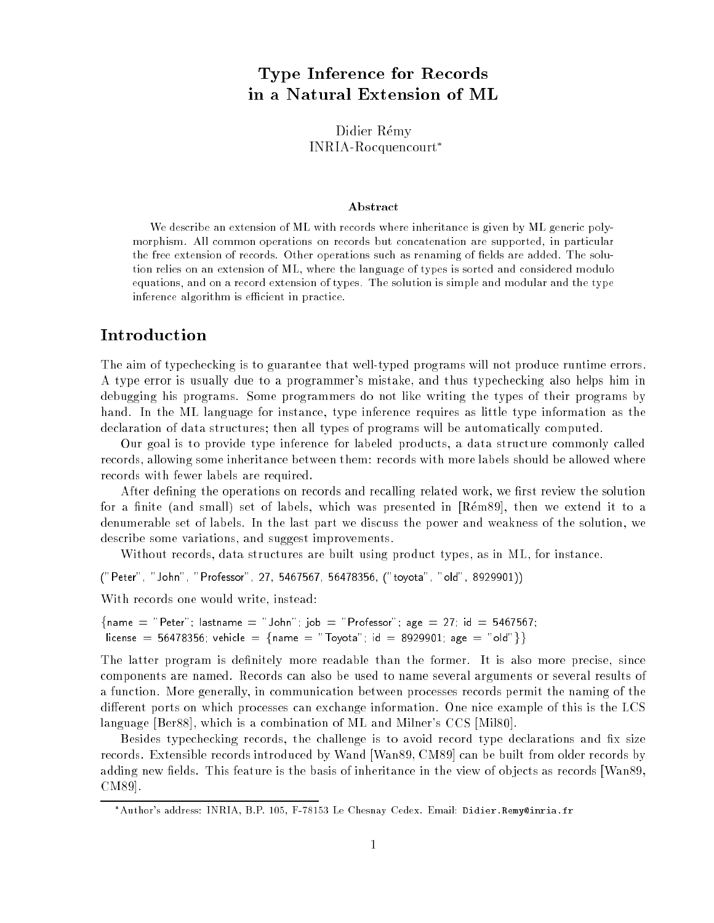# Type Inference for Records in a Natural Extension of ML

Didier Remy INRIA-Rocquencourt

#### Abstract

We describe an extension of ML with records where inheritance is given by ML generic polymorphism. All common operations on records but concatenation are supported, in particular the free extension of records. Other operations such as renaming of fields are added. The solution relies on an extension of ML, where the language of types is sorted and considered modulo equations, and on a record extension of types. The solution is simple and modular and the type inference algorithm is efficient in practice.

## Introduction

The aim of typechecking is to guarantee that well-typed programs will not produce runtime errors. A type error is usually due to a programmer's mistake, and thus typechecking also helps him in debugging his programs. Some programmers do not like writing the types of their programs by hand. In the ML language for instance, type inference requires as little type information as the declaration of data structures; then all types of programs will be automatically computed.

Our goal is to provide type inference for labeled products, a data structure commonly called records, allowing some inheritance between them: records with more labels should be allowed where records with fewer labels are required.

After defining the operations on records and recalling related work, we first review the solution for a finite (and small) set of labels, which was presented in  $[\text{R\'en89}]$ , then we extend it to a denumerable set of labels. In the last part we discuss the power and weakness of the solution, we describe some variations, and suggest improvements.

Without records, data structures are built using product types, as in ML, for instance.

("Peter", "John", "Professor", 27, 5467567, 56478356, ("toyota", "old", 8929901))

With records one would write, instead:

 ${\{name = "Peter": lastname = "John": job = "Professor": age = 27; id = 5467567};$ license = 56478356; vehicle = {name = "Toyota"; id = 8929901; age = "old"}}

The latter program is definitely more readable than the former. It is also more precise, since components are named. Records can also be used to name several arguments or several results of a function. More generally, in communication between processes records permit the naming of the different ports on which processes can exchange information. One nice example of this is the LCS language [Ber88], which is a combination of ML and Milner's CCS [Mil80].

Besides typechecking records, the challenge is to avoid record type declarations and fix size records. Extensible records introduced by Wand [Wan89, CM89] can be built from older records by adding new fields. This feature is the basis of inheritance in the view of objects as records [Wan89, CM89].

Author's address: INRIA, B.P. 105, F-78153 Le Chesnay Cedex. Email: Didier.Remy@inria.fr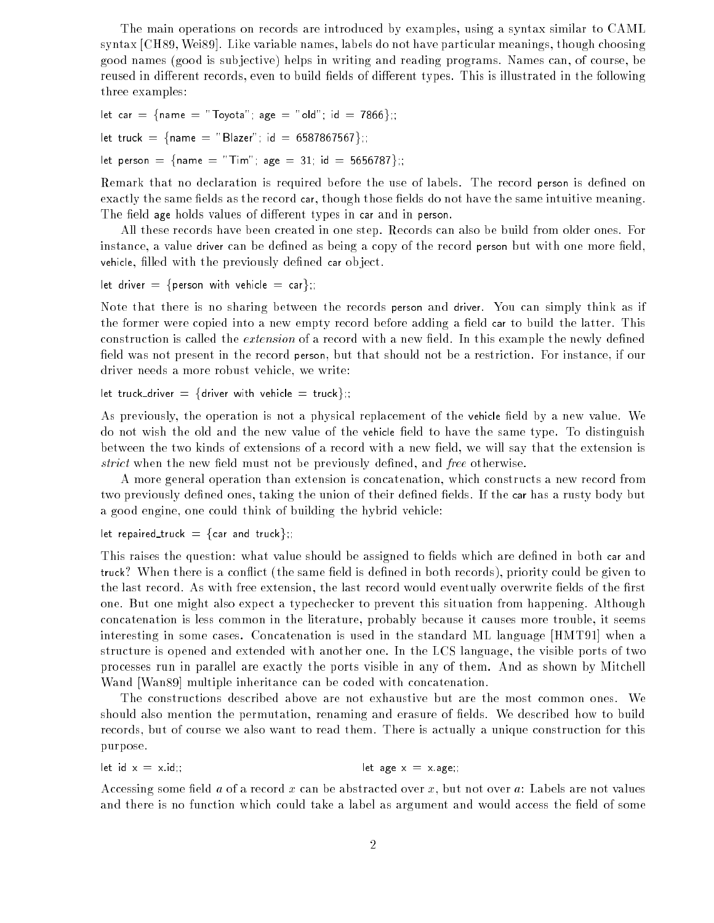The main operations on records are introduced by examples, using a syntax similar to CAML syntax [CH89, Wei89]. Like variable names, labels do not have particular meanings, though choosing good names (good is sub jective) helps in writing and reading programs. Names can, of course, be reused in different records, even to build fields of different types. This is illustrated in the following three examples:

let car = {name = "Toyota"; age = "old"; id = 7866}; let truck =  $\{name = "Blazer"; id = 6587867567};$ let person = {name = "Tim"; age = 31; id = 5656787};;

Remark that no declaration is required before the use of labels. The record person is defined on exactly the same fields as the record car, though those fields do not have the same intuitive meaning. The field age holds values of different types in car and in person.

All these records have been created in one step. Records can also be build from older ones. For instance, a value driver can be defined as being a copy of the record person but with one more field, vehicle, filled with the previously defined car object.

let driver  $=$  {person with vehicle  $=$  car};;

Note that there is no sharing between the records person and driver. You can simply think as if the former were copied into a new empty record before adding a field car to build the latter. This construction is called the *extension* of a record with a new field. In this example the newly defined field was not present in the record person, but that should not be a restriction. For instance, if our driver needs a more robust vehicle, we write:

let truck\_driver = {driver with vehicle = truck};;

As previously, the operation is not a physical replacement of the vehicle field by a new value. We do not wish the old and the new value of the vehicle field to have the same type. To distinguish between the two kinds of extensions of a record with a new field, we will say that the extension is strict when the new field must not be previously defined, and free otherwise.

A more general operation than extension is concatenation, which constructs a new record from two previously defined ones, taking the union of their defined fields. If the car has a rusty body but a good engine, one could think of building the hybrid vehicle:

let repaired\_truck  $=$  {car and truck};

This raises the question: what value should be assigned to fields which are defined in both car and truck? When there is a conflict (the same field is defined in both records), priority could be given to the last record. As with free extension, the last record would eventually overwrite fields of the first one. But one might also expect a typechecker to prevent this situation from happening. Although concatenation is less common in the literature, probably because it causes more trouble, it seems interesting in some cases. Concatenation is used in the standard ML language [HMT91] when a structure is opened and extended with another one. In the LCS language, the visible ports of two processes run in parallel are exactly the ports visible in any of them. And as shown by Mitchell Wand [Wan89] multiple inheritance can be coded with concatenation.

The constructions described above are not exhaustive but are the most common ones. We should also mention the permutation, renaming and erasure of fields. We described how to build records, but of course we also want to read them. There is actually a unique construction for this purpose.

$$
let id x = x_id;
$$

Accessing some field  $a$  of a record  $x$  can be abstracted over  $x$ , but not over  $a$ : Labels are not values and there is no function which could take a label as argument and would access the field of some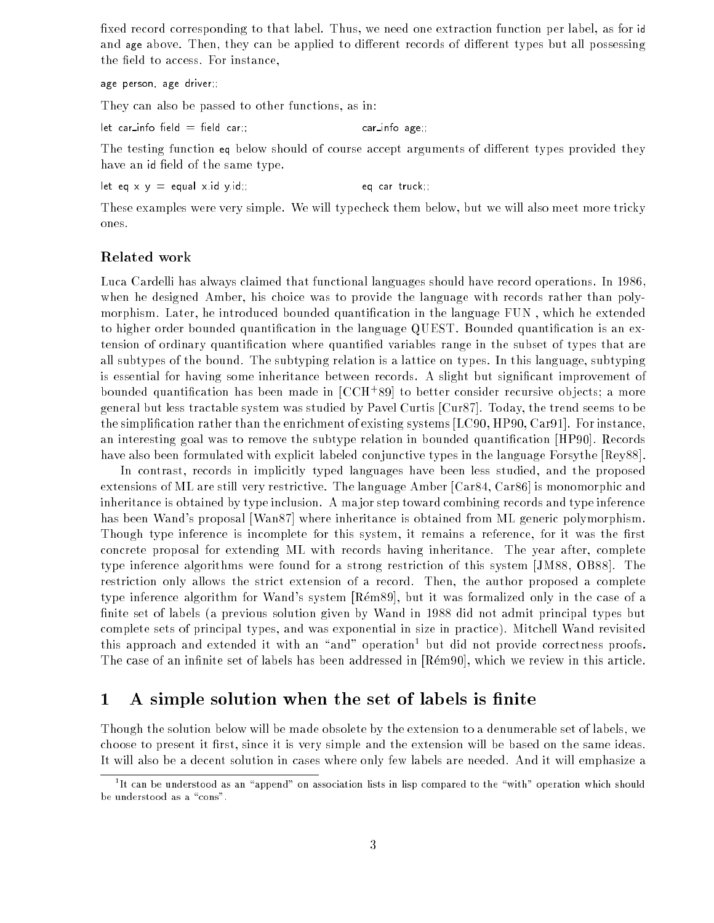fixed record corresponding to that label. Thus, we need one extraction function per label, as for id and age above. Then, they can be applied to different records of different types but all possessing the field to access. For instance,

age person, age driver;;

They can also be passed to other functions, as in:

 $let \ car_info \ field = field \ car$ ;; car info age;;

The testing function eq below should of course accept arguments of different types provided they have an id field of the same type.

let eq <sup>x</sup> <sup>y</sup> = equal x.id y.id;; eq car truck;;

These examples were very simple. We will typecheck them below, but we will also meet more tricky ones.

### Related work

Luca Cardelli has always claimed that functional languages should have record operations. In 1986, when he designed Amber, his choice was to provide the language with records rather than polymorphism. Later, he introduced bounded quantication in the language FUN , which he extended to higher order bounded quantification in the language QUEST. Bounded quantification is an extension of ordinary quantification where quantified variables range in the subset of types that are all subtypes of the bound. The subtyping relation is a lattice on types. In this language, subtyping is essential for having some inheritance between records. A slight but signicant improvement of bounded quantication has been made in [CCH<sup>+</sup> 89] to better consider recursive ob jects; a more general but less tractable system was studied by Pavel Curtis [Cur87]. Today, the trend seems to be the simplication rather than the enrichment of existing systems [LC90, HP90, Car91]. For instance, an interesting goal was to remove the subtype relation in bounded quantification [HP90]. Records have also been formulated with explicit labeled conjunctive types in the language Forsythe [Rey88].

In contrast, records in implicitly typed languages have been less studied, and the proposed extensions of ML are still very restrictive. The language Amber [Car84, Car86] is monomorphic and inheritance is obtained by type inclusion. A ma jor step toward combining records and type inference has been Wand's proposal [Wan87] where inheritance is obtained from ML generic polymorphism. Though type inference is incomplete for this system, it remains a reference, for it was the first concrete proposal for extending ML with records having inheritance. The year after, complete type inference algorithms were found for a strong restriction of this system [JM88, OB88]. The restriction only allows the strict extension of a record. Then, the author proposed a complete type inference algorithm for Wand's system [Rem89], but it was formalized only in the case of a finite set of labels (a previous solution given by Wand in 1988 did not admit principal types but complete sets of principal types, and was exponential in size in practice). Mitchell Wand revisited this approach and extended it with an and operation" but did not provide correctness proofs. The case of an infinite set of labels has been addressed in [Rém90], which we review in this article.

## 1 A simple solution when the set of labels is finite

Though the solution below will be made obsolete by the extension to a denumerable set of labels, we choose to present it first, since it is very simple and the extension will be based on the same ideas. It will also be a decent solution in cases where only few labels are needed. And it will emphasize a

<sup>&</sup>quot;It can be understood as an "append" on association lists in lisp compared to the "with" operation which should be understood as a "cons".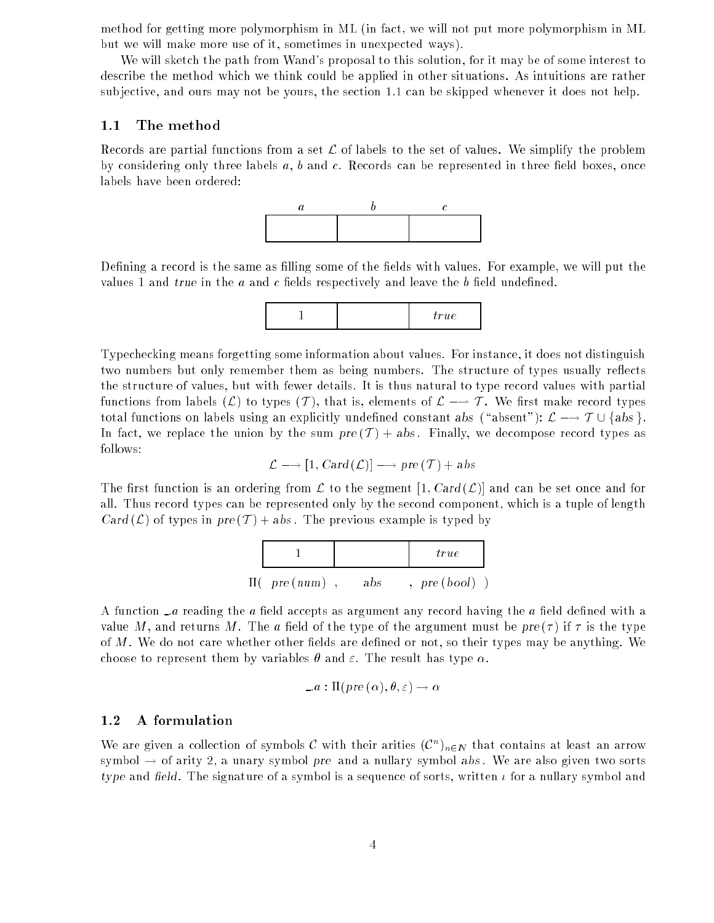method for getting more polymorphism in ML (in fact, we will not put more polymorphism in ML but we will make more use of it, sometimes in unexpected ways).

We will sketch the path from Wand's proposal to this solution, for it may be of some interest to describe the method which we think could be applied in other situations. As intuitions are rather sub jective, and ours may not be yours, the section 1.1 can be skipped whenever it does not help.

#### 1.1 The method

Records are partial functions from a set  $\mathcal L$  of labels to the set of values. We simplify the problem by considering only three labels  $a, b$  and  $c.$  Records can be represented in three field boxes, once labels have been ordered:



Defining a record is the same as filling some of the fields with values. For example, we will put the values 1 and true in the  $a$  and  $c$  fields respectively and leave the  $b$  field undefined.



Typechecking means forgetting some information about values. For instance, it does not distinguish two numbers but only remember them as being numbers. The structure of types usually reflects the structure of values, but with fewer details. It is thus natural to type record values with partial functions from labels  $(\mathcal{L})$  to types  $(\mathcal{T})$ , that is, elements of  $\mathcal{L} \longrightarrow \mathcal{T}$ . We first make record types total functions on labels using an explicitly undefined constant abs ("absent"):  $\mathcal{L} \longrightarrow \mathcal{T} \cup \{abs\}$ . In fact, we replace the union by the sum  $pre(T) + abs$ . Finally, we decompose record types as follows:

$$
\mathcal{L} \longrightarrow [1, Card(\mathcal{L})] \longrightarrow pre(\mathcal{T}) + abs
$$

The first function is an ordering from L to the segment [1, Card  $(\mathcal{L})$ ] and can be set once and for all. Thus record types can be represented only by the second component, which is a tuple of length  $Card(\mathcal{L})$  of types in  $pre(\mathcal{T}) + abs$ . The previous example is typed by



A function  $\Box a$  reading the a field accepts as argument any record having the a field defined with a value M, and returns M. The a field of the type of the argument must be pre $(\tau)$  if  $\tau$  is the type of  $M$ . We do not care whether other fields are defined or not, so their types may be anything. We choose to represent them by variables  $\theta$  and  $\varepsilon$ . The result has type  $\alpha$ .

$$
-a:\Pi(pre\,(\alpha),\theta,\varepsilon)\to\alpha
$$

### 1.2 A formulation

We are given a conection of symbols C with their arities  $(C^*)_{n \in \mathbb{N}}$  that contains at least an arrow symbol  $\rightarrow$  of arity 2, a unary symbol pre and a nullary symbol abs. We are also given two sorts type and field. The signature of a symbol is a sequence of sorts, written  $\iota$  for a nullary symbol and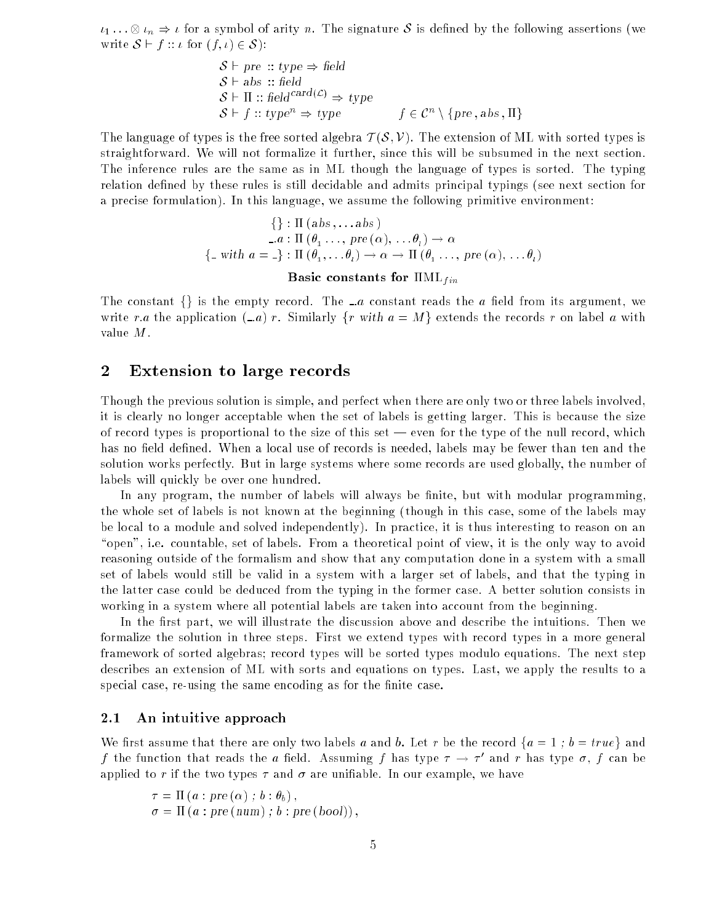1 : : : n ) for a symbol of arity n. The signature <sup>S</sup> is dened by the following assertions (we write  $S \vdash f :: \iota$  for  $(f, \iota) \in S$ :

$$
\begin{aligned}\n\mathcal{S} \vdash \text{pre} &\ :: \text{type} \Rightarrow \text{field} \\
\mathcal{S} \vdash \text{abs} &\ :: \text{field} \\
\mathcal{S} \vdash \Pi &\ :: \text{field}^{\text{card}(\mathcal{L})} \Rightarrow \text{type} \\
\mathcal{S} \vdash f &\ :: \text{type}^n \Rightarrow \text{type} &\ f \in \mathcal{C}^n \setminus \{\text{pre} \text{, abs} \text{, } \Pi\}\n\end{aligned}
$$

The language of types is the free sorted algebra  $T(S, V)$ . The extension of ML with sorted types is straightforward. We will not formalize it further, since this will be subsumed in the next section. The inference rules are the same as in ML though the language of types is sorted. The typing relation defined by these rules is still decidable and admits principal typings (see next section for a precise formulation). In this language, we assume the following primitive environment:

$$
\{\}: \Pi (abs, \ldots abs)
$$
  
\n
$$
-a : \Pi (\theta_1 \ldots, pre(\alpha), \ldots \theta_l) \to \alpha
$$
  
\n
$$
\{- with \ a = -\}: \Pi (\theta_1, \ldots \theta_l) \to \alpha \to \Pi (\theta_1 \ldots, pre(\alpha), \ldots \theta_l)
$$

Basic constants for  $\text{IML}_{fin}$ 

The constant  $\{\}\$ is the empty record. The La constant reads the a field from its argument, we write r.a the application  $(-a)$  r. Similarly  $\{r \text{ with } a = M\}$  extends the records r on label a with value M.

## 2 Extension to large records

Though the previous solution is simple, and perfect when there are only two or three labels involved, it is clearly no longer acceptable when the set of labels is getting larger. This is because the size of record types is proportional to the size of this set  $-$  even for the type of the null record, which has no field defined. When a local use of records is needed, labels may be fewer than ten and the solution works perfectly. But in large systems where some records are used globally, the number of labels will quickly be over one hundred.

In any program, the number of labels will always be finite, but with modular programming, the whole set of labels is not known at the beginning (though in this case, some of the labels may be local to a module and solved independently). In practice, it is thus interesting to reason on an " $open$ ", i.e. countable, set of labels. From a theoretical point of view, it is the only way to avoid reasoning outside of the formalism and show that any computation done in a system with a small set of labels would still be valid in a system with a larger set of labels, and that the typing in the latter case could be deduced from the typing in the former case. A better solution consists in working in a system where all potential labels are taken into account from the beginning.

In the first part, we will illustrate the discussion above and describe the intuitions. Then we formalize the solution in three steps. First we extend types with record types in a more general framework of sorted algebras; record types will be sorted types modulo equations. The next step describes an extension of ML with sorts and equations on types. Last, we apply the results to a special case, re-using the same encoding as for the finite case.

## 2.1 An intuitive approach

We first assume that there are only two labels a and b. Let r be the record  $\{a = 1 ; b = true\}$  and  $f$  the function that reads the  $a$  nefu. Assuming  $f$  has type  $i$   $\rightarrow$   $i$  and  $r$  has type  $o$  ,  $f$  can be applied to r if the two types  $\tau$  and  $\sigma$  are unifiable. In our example, we have

$$
\tau = \Pi (a : pre (\alpha) ; b : \theta_b),
$$
  
\n
$$
\sigma = \Pi (a : pre (num) ; b : pre (bool)),
$$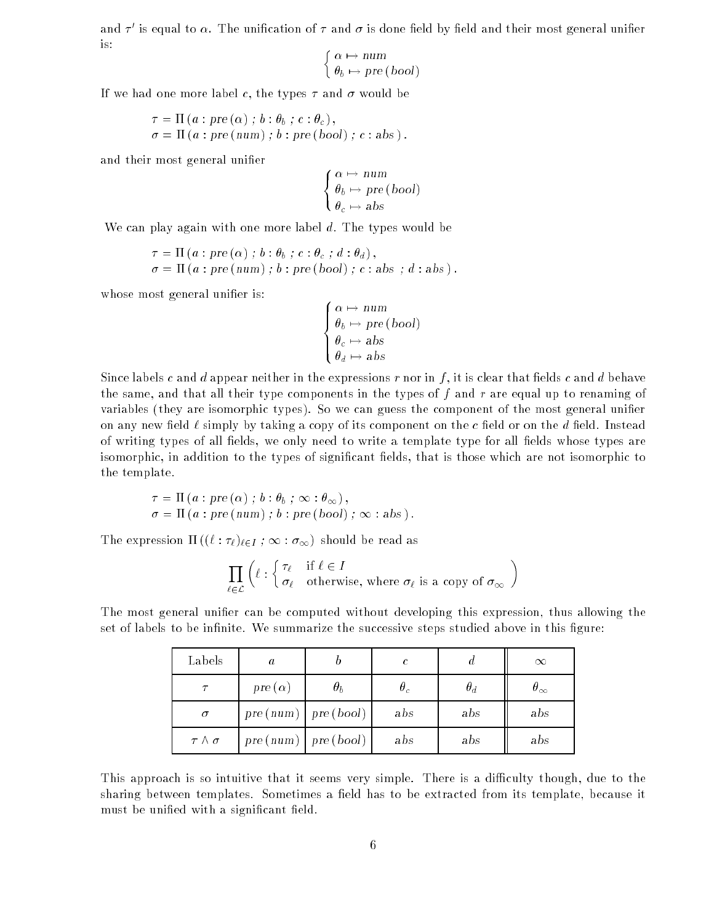and  $\tau$  is equal to  $\alpha$ . The unincation of  $\tau$  and  $\sigma$  is done neld by neid and their most general uniner is:

$$
\begin{cases} \alpha \mapsto num \\ \theta_b \mapsto pre (bool) \end{cases}
$$

If we had one more label c, the types  $\tau$  and  $\sigma$  would be

$$
\tau = \Pi (a : pre(\alpha) ; b : \theta_b ; c : \theta_c), \n\sigma = \Pi (a : pre(num) ; b : pre (bool) ; c : abs).
$$

and their most general unifier

$$
\begin{cases} \alpha \mapsto \text{num} \\ \theta_b \mapsto \text{pre} \ (\text{bool}) \\ \theta_c \mapsto \text{abs} \end{cases}
$$

We can play again with one more label  $d$ . The types would be

$$
\tau = \Pi (a : pre (\alpha) ; b : \theta_b ; c : \theta_c ; d : \theta_d),
$$
  
\n
$$
\sigma = \Pi (a : pre (num) ; b : pre (bool) ; c : abs ; d : abs).
$$

<sup>8</sup>

whose most general unifier is:

$$
\begin{cases}\n\alpha \mapsto num \\
\theta_b \mapsto pre (bool) \\
\theta_c \mapsto abs \\
\theta_d \mapsto abs\n\end{cases}
$$

Since labels c and d appear neither in the expressions r nor in f, it is clear that fields c and d behave the same, and that all their type components in the types of  $f$  and  $r$  are equal up to renaming of variables (they are isomorphic types). So we can guess the component of the most general unier on any new field  $\ell$  simply by taking a copy of its component on the c field or on the d field. Instead of writing types of all fields, we only need to write a template type for all fields whose types are isomorphic, in addition to the types of significant fields, that is those which are not isomorphic to the template.

$$
\tau = \Pi (a : pre(\alpha) ; b : \theta_b ; \infty : \theta_{\infty}), \n\sigma = \Pi (a : pre(num) ; b : pre(bool) ; \infty : abs).
$$

The expression  $\Pi((\ell : \tau_{\ell})_{\ell \in I}; \infty : \sigma_{\infty})$  should be read as

$$
\prod_{\ell \in \mathcal{L}} \left( \ell : \begin{cases} \tau_{\ell} & \text{if } \ell \in I \\ \sigma_{\ell} & \text{otherwise, where } \sigma_{\ell} \text{ is a copy of } \sigma_{\infty} \end{cases} \right)
$$

The most general unier can be computed without developing this expression, thus allowing the set of labels to be infinite. We summarize the successive steps studied above in this figure:

| Labels               | $\boldsymbol{a}$ |                      | C          | а          | $\infty$          |
|----------------------|------------------|----------------------|------------|------------|-------------------|
|                      | pre $(\alpha)$   | $\theta_b$           | $\theta_c$ | $\theta_d$ | $\theta_{\infty}$ |
| $\sigma$             |                  | pre(num)   pre(bool) | abs        | abs        | abs               |
| $\tau \wedge \sigma$ |                  | pre(num)   pre(bool) | <i>abs</i> | abs        | $_{abs}$          |

This approach is so intuitive that it seems very simple. There is a difficulty though, due to the sharing between templates. Sometimes a field has to be extracted from its template, because it must be unified with a significant field.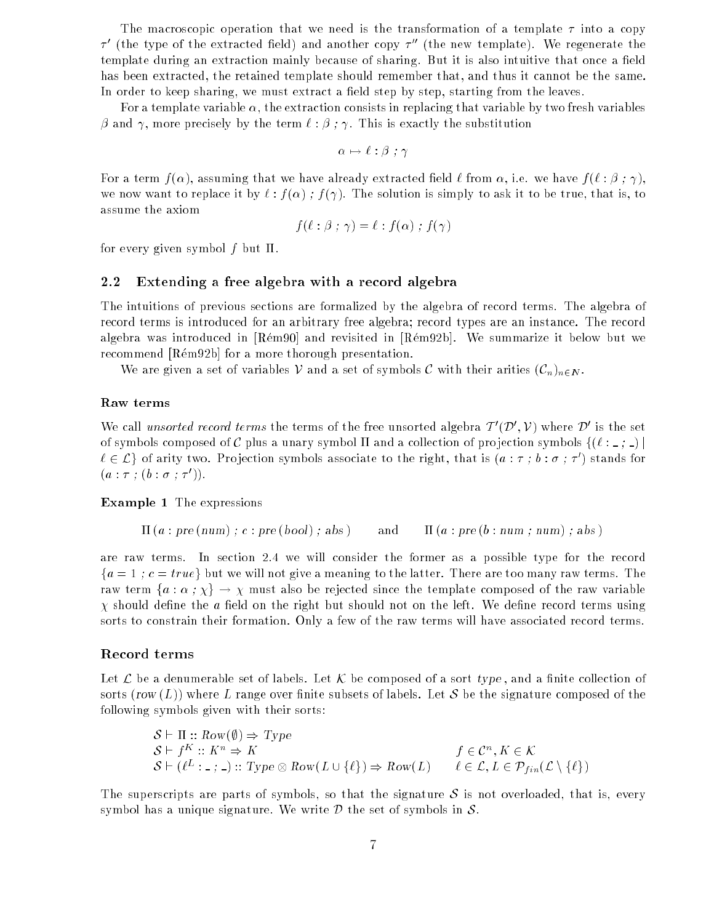The macroscopic operation that we need is the transformation of a template  $\tau$  into a copy  $\tau$  (the type of the extracted held) and another copy  $\tau$  (the new template). We regenerate the template during an extraction mainly because of sharing. But it is also intuitive that once a field has been extracted, the retained template should remember that, and thus it cannot be the same. In order to keep sharing, we must extract a field step by step, starting from the leaves.

For a template variable  $\alpha$ , the extraction consists in replacing that variable by two fresh variables  $\beta$  and  $\gamma$ , more precisely by the term  $\ell : \beta : \gamma$ . This is exactly the substitution

$$
\alpha\mapsto \ell:\beta\ ;\ \gamma
$$

For a term  $f(\alpha)$ , assuming that we have already extracted field  $\ell$  from  $\alpha$ , i.e. we have  $f(\ell : \beta : \gamma)$ , we now want to replace it by  $\ell : f(\alpha)$ ;  $f(\gamma)$ . The solution is simply to ask it to be true, that is, to assume the axiom

$$
f(\ell : \beta : \gamma) = \ell : f(\alpha) ; f(\gamma)
$$

for every given symbol  $f$  but  $\Pi$ .

## 2.2 Extending a free algebra with a record algebra

The intuitions of previous sections are formalized by the algebra of record terms. The algebra of record terms is introduced for an arbitrary free algebra; record types are an instance. The record algebra was introduced in [Rém90] and revisited in [Rém92b]. We summarize it below but we recommend [Rém92b] for a more thorough presentation.

We are given a set of variables V and a set of symbols C with their arities  $(C_n)_{n\in\mathbb{N}}$ .

#### Raw terms

We call unsorted record terms the terms of the free unsorted algebra T  $(\nu, \nu)$  where  $\nu$  is the set of symbols composed of C plus a unary symbol  $\Pi$  and a collection of projection symbols  $\{(\ell : \_ \ ; \_ )\}$  $\ell \in L$  arity two. Pro jection symbols associate to the right, that is (a :  $\ell$  ;  $\theta$  :  $\theta$  ;  $\ell$  ) stands for  $(a : \tau ; (0 : 0 : \tau )$ .

## Example <sup>1</sup> The expressions

$$
\Pi(a: pre(num); c: pre(bool); abs) \qquad \text{and} \qquad \Pi(a: pre(b: num; num); abs)
$$

are raw terms. In section 2.4 we will consider the former as a possible type for the record  ${a = 1 ; c = true}$  but we will not give a meaning to the latter. There are too many raw terms. The raw term  $\{a : \alpha : \chi\} \to \chi$  must also be rejected since the template composed of the raw variable  $\chi$  should define the *a* field on the right but should not on the left. We define record terms using sorts to constrain their formation. Only a few of the raw terms will have associated record terms.

### Record terms

Let  $\mathcal L$  be a denumerable set of labels. Let K be composed of a sort type, and a finite collection of sorts  $(row (L))$  where L range over finite subsets of labels. Let S be the signature composed of the following symbols given with their sorts:

$$
S \vdash \Pi :: Row(\emptyset) \Rightarrow Type
$$
  
\n
$$
S \vdash f^K :: K^n \Rightarrow K
$$
  
\n
$$
S \vdash (\ell^L : \_ \; : \_ ) :: Type \otimes Row(L \cup \{\ell\}) \Rightarrow Row(L)
$$
  
\n
$$
\ell \in \mathcal{L}, L \in \mathcal{P}_{fin}(\mathcal{L} \setminus \{\ell\})
$$

The superscripts are parts of symbols, so that the signature  $S$  is not overloaded, that is, every symbol has a unique signature. We write  $\mathcal D$  the set of symbols in  $\mathcal S$ .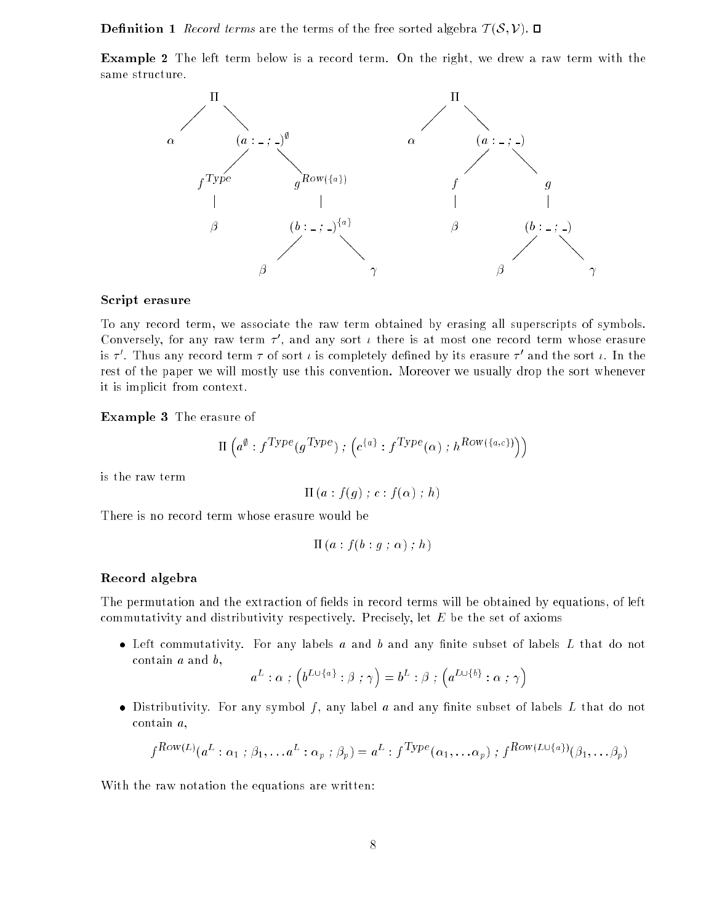**Definition 1** Record terms are the terms of the free sorted algebra  $T(S, V)$ .  $\Box$ 

Example <sup>2</sup> The left term below is a record term. On the right, we drew a raw term with the same structure.



### Script erasure

To any record term, we associate the raw term obtained by erasing all superscripts of symbols. Conversely, for any raw term  $\tau$  , and any sort  $\iota$  there is at most one record term whose erasure is  $\tau$  . Thus any record term  $\tau$  of sort  $\iota$  is completely defined by its erasure  $\tau$  -and the sort  $\iota$ . In the rest of the paper we will mostly use this convention. Moreover we usually drop the sort whenever it is implicit from context.

Example <sup>3</sup> The erasure of

$$
\Pi\left(a^\emptyset : f^{\mathit{Type}}(g^{\mathit{Type}}) \; ; \; \left(c^{\{a\}} : f^{\mathit{Type}}(\alpha) \; ; \; h^{\mathit{Row}(\{a,c\})}\right)\right)
$$

is the raw term

$$
\Pi(a : f(q) : c : f(\alpha) : h)
$$

There is no record term whose erasure would be

$$
\Pi\left(a:f(b:g\ ;\ \alpha\right)\ ;\ h\right)
$$

#### Record algebra

The permutation and the extraction of fields in record terms will be obtained by equations, of left commutativity and distributivity respectively. Precisely, let  $E$  be the set of axioms

 $\bullet$  Left commutativity. For any labels a and b and any finite subset of labels L that do not contain  $a$  and  $b$ ,

$$
a^{L} : \alpha ; (b^{L \cup \{a\}} : \beta ; \gamma) = b^{L} : \beta ; (a^{L \cup \{b\}} : \alpha ; \gamma)
$$

• Distributivity. For any symbol f, any label  $a$  and any finite subset of labels  $L$  that do not contain a,

$$
f^{Row(L)}(a^L:\alpha_1;\beta_1,\ldots,a^L:\alpha_p;\beta_p)=a^L:f^{Type}(\alpha_1,\ldots,\alpha_p);f^{Row(L\cup\{a\})}(\beta_1,\ldots,\beta_p)
$$

With the raw notation the equations are written: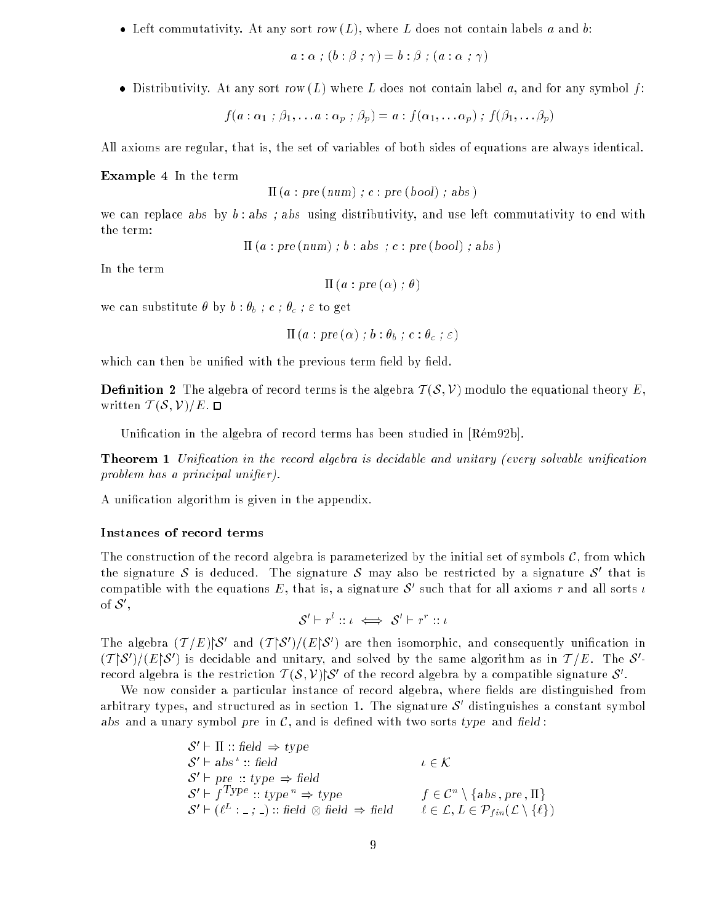• Left commutativity. At any sort row  $(L)$ , where L does not contain labels a and b:

 $a : \alpha : (b : \beta : \gamma) = b : \beta : (a : \alpha : \gamma)$ 

• Distributivity. At any sort row  $(L)$  where L does not contain label a, and for any symbol f:

 $f(a: \alpha_1; \beta_1, \ldots, a: \alpha_p; \beta_p) = a : f(\alpha_1, \ldots \alpha_p) : f(\beta_1, \ldots \beta_p)$ 

All axioms are regular, that is, the set of variables of both sides of equations are always identical.

Example <sup>4</sup> In the term

 $\Pi(a : pre(num); c : pre(bool); abs)$ 

we can replace abs by b: abs; abs using distributivity, and use left commutativity to end with the term:

 $\Pi(a : pre(num); b : abs; c : pre(bool); abs)$ 

In the term

 $\Pi(a : pre(\alpha) ; \theta)$ 

we can substitute  $\theta$  by  $b : \theta_b$ ;  $c : \theta_c$ ;  $\varepsilon$  to get

 $\Pi$  (a : pre ( $\alpha$ );  $b : \theta_b$ ;  $c : \theta_c$ ;  $\varepsilon$ )

which can then be unified with the previous term field by field.

**Definition 2** The algebra of record terms is the algebra  $T(S, V)$  modulo the equational theory E, written  $T(S, V)/E$ .  $\Box$ 

Unification in the algebra of record terms has been studied in  $[{\rm R\acute{e}m}92{\rm b}]$ .

**Theorem 1** Unification in the record algebra is decidable and unitary (every solvable unification problem has a principal unifier).

A unication algorithm is given in the appendix.

### Instances of record terms

The construction of the record algebra is parameterized by the initial set of symbols  $\mathcal{C}$ , from which the signature  $\delta$  is deduced. The signature  $\delta$  may also be restricted by a signature  $\delta$  that is compatible with the equations  $E$ , that is, a signature  $\mathcal O$  such that for all axioms r and all sorts  $\iota$  $01$   $\circ$  ,

$$
\mathcal{S}' \vdash r^l :: \iota \iff \mathcal{S}' \vdash r^r :: \iota
$$

The algebra (T  $|E|$ ) and (T  $\phi$  )/(E  $\phi$  ) are then isomorphic, and consequently unincation in (T  $\beta$  )/(E  $\beta$  ) is decidable and unitary, and solved by the same algorithm as in T /E. The  $\beta$  record algebra is the restriction  $T(\mathcal{O}, V)$   $\mathcal{O}$  of the record algebra by a compatible signature  $\mathcal{O}$  .

We now consider a particular instance of record algebra, where fields are distinguished from arbitrary types, and structured as in section 1. The signature  $\phi$  -distinguishes a constant symbol abs and a unary symbol pre in  $\mathcal{C}$ , and is defined with two sorts type and field:

| $f \in \mathcal{C}^n \setminus \{abs, pre, \Pi\}$                               |
|---------------------------------------------------------------------------------|
| $\ell \in \mathcal{L}, L \in \mathcal{P}_{fin}(\mathcal{L} \setminus \{\ell\})$ |
|                                                                                 |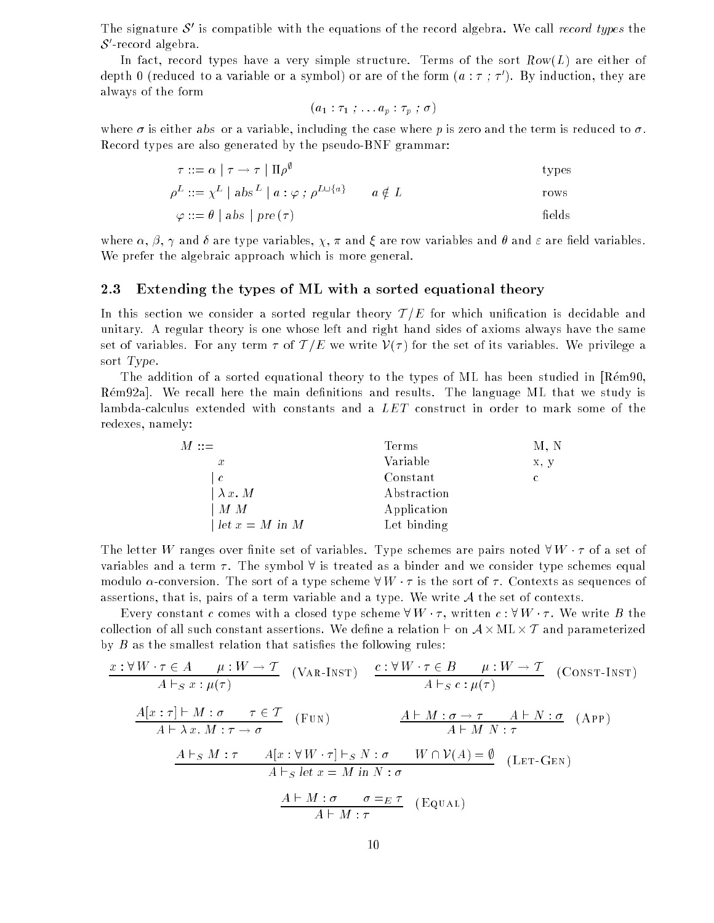The signature  $\delta$  is compatible with the equations of the record algebra. We call record types the  $\phi$  -record algebra.

In fact, record types have a very simple structure. Terms of the sort  $Row(L)$  are either of depth  $0$  (reduced to a variable or a symbol) or are of the form (a :  $\tau$  ,  $\tau$  ). By mudction, they are always of the form

$$
(a_1:\tau_1; \ldots a_p:\tau_p;\sigma)
$$

where  $\sigma$  is either abs or a variable, including the case where p is zero and the term is reduced to  $\sigma$ . Record types are also generated by the pseudo-BNF grammar:

$$
\tau ::= \alpha \mid \tau \to \tau \mid \Pi \rho^{\emptyset} \qquad \text{types}
$$
\n
$$
\rho^L ::= \chi^L \mid abs^L \mid a : \varphi \; ; \; \rho^{L \cup \{a\}} \qquad a \notin L \qquad \text{rows}
$$
\n
$$
\varphi ::= \theta \mid abs \mid pre(\tau) \qquad \text{fields}
$$

where  $\alpha$ ,  $\beta$ ,  $\gamma$  and  $\delta$  are type variables,  $\chi$ ,  $\pi$  and  $\xi$  are row variables and  $\theta$  and  $\varepsilon$  are field variables. We prefer the algebraic approach which is more general.

#### 2.3 Extending the types of ML with a sorted equational theory

In this section we consider a sorted regular theory  $\mathcal{T}/E$  for which unification is decidable and unitary. A regular theory is one whose left and right hand sides of axioms always have the same set of variables. For any term  $\tau$  of  $\mathcal{T}/E$  we write  $\mathcal{V}(\tau)$  for the set of its variables. We privilege a sort Type.

The addition of a sorted equational theory to the types of ML has been studied in [Rém90, Rém92a]. We recall here the main definitions and results. The language ML that we study is lambda-calculus extended with constants and a LET construct in order to mark some of the redexes, namely:

| $M ::=$          | Terms       | M, N |
|------------------|-------------|------|
| $\boldsymbol{x}$ | Variable    | x, y |
| $\epsilon$       | Constant    | C    |
| $\lambda x. M$   | Abstraction |      |
| $M\ M$           | Application |      |
| $let x = M$ in M | Let binding |      |

The letter W ranges over finite set of variables. Type schemes are pairs noted  $\forall W \cdot \tau$  of a set of variables and a term  $\tau$ . The symbol  $\forall$  is treated as a binder and we consider type schemes equal modulo  $\alpha$ -conversion. The sort of a type scheme  $\forall W \cdot \tau$  is the sort of  $\tau$ . Contexts as sequences of assertions, that is, pairs of a term variable and a type. We write  $A$  the set of contexts.

Every constant c comes with a closed type scheme  $\forall W \cdot \tau$ , written  $c : \forall W \cdot \tau$ . We write B the collection of all such constant assertions. We define a relations. We define a relation of  $\mathbb{P}^1$ by  $B$  as the smallest relation that satisfies the following rules:

$$
\frac{x:\forall W \cdot \tau \in A \qquad \mu: W \to \mathcal{T}}{A \vdash_S x:\mu(\tau)} \quad \text{(VaR-InST)} \quad \frac{c:\forall W \cdot \tau \in B \qquad \mu: W \to \mathcal{T}}{A \vdash_S c:\mu(\tau)} \quad \text{(Constr-InST)}
$$
\n
$$
\frac{A[x:\tau] \vdash M:\sigma \qquad \tau \in \mathcal{T}}{A \vdash \lambda x.M:\tau \to \sigma} \quad \text{(Fun)} \qquad \frac{A \vdash M:\sigma \to \tau \qquad A \vdash N:\sigma}{A \vdash M N:\tau} \quad \text{(APP)}
$$
\n
$$
\frac{A \vdash_S M:\tau \qquad A[x:\forall W \cdot \tau] \vdash_S N:\sigma \qquad W \cap \mathcal{V}(A) = \emptyset}{A \vdash_S let x = M \text{ in } N:\sigma} \quad \text{(LET-GEN)}
$$
\n
$$
\frac{A \vdash M:\sigma \qquad \sigma =_{E} \tau}{A \vdash M:\tau} \quad \text{(Equal)}
$$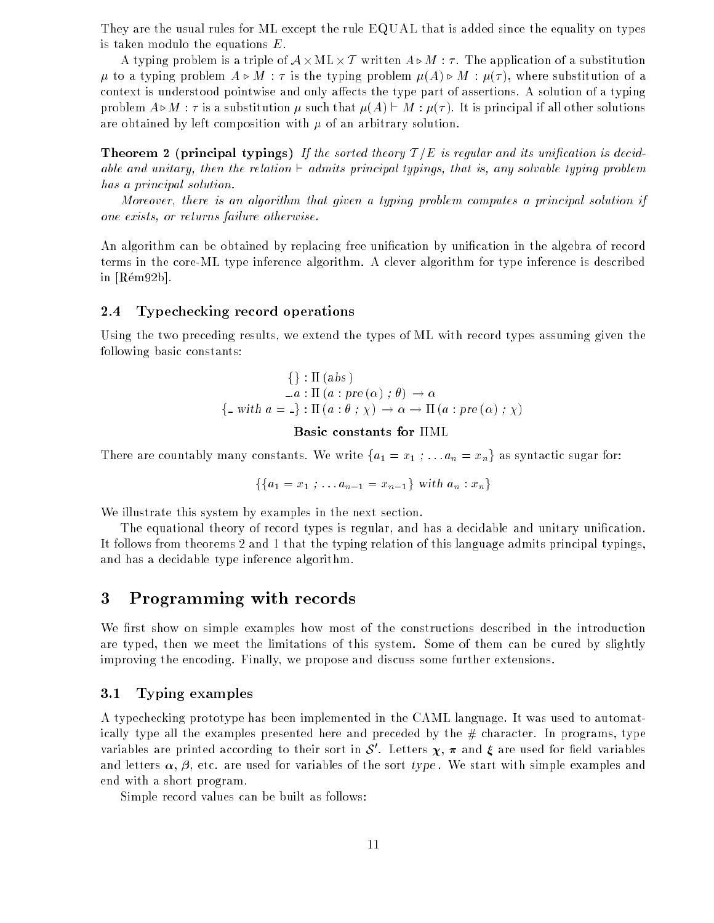They are the usual rules for ML except the rule EQUAL that is added since the equality on types is taken modulo the equations  $E$ .

A typing problem is a triple of A -ML -<sup>T</sup> written A .M : . The application of a substitution  $\mu$  to a typing problem  $A \triangleright M : \tau$  is the typing problem  $\mu(A) \triangleright M : \mu(\tau)$ , where substitution of a context is understood pointwise and only affects the type part of assertions. A solution of a typing problem  $A \triangleright M$ :  $\tau$  is a substitution  $\mu$  such that  $\mu(A) \vdash M$ :  $\mu(\tau)$ . It is principal if all other solutions are obtained by left composition with  $\mu$  of an arbitrary solution.

**Theorem 2 (principal typings)** If the sorted theory  $T/E$  is regular and its unification is decidable and unitary, then the relation  $\vdash$  admits principal typings, that is, any solvable typing problem has a principal solution.

Moreover, there is an algorithm that given a typing problem computes a principal solution if one exists, or returns failure otherwise.

An algorithm can be obtained by replacing free unification by unification in the algebra of record terms in the core-ML type inference algorithm. A clever algorithm for type inference is described in [Rem92b].

#### 2.4 Typechecking record operations

Using the two preceding results, we extend the types of ML with record types assuming given the following basic constants:

$$
\{\}: \Pi (abs)
$$
  
\n
$$
a: \Pi (a : pre (\alpha) ; \theta) \to \alpha
$$
  
\n
$$
\{- with a = -\}: \Pi (a : \theta ; \chi) \to \alpha \to \Pi (a : pre (\alpha) ; \chi)
$$

## Basic constants for HML

There are countably many constants. We write  $\{a_1 = x_1, \ldots, a_n = x_n\}$  as syntactic sugar for:

$$
\{\{a_1 = x_1, \ldots a_{n-1} = x_{n-1}\} \text{ with } a_n : x_n\}
$$

We illustrate this system by examples in the next section.

The equational theory of record types is regular, and has a decidable and unitary unication. It follows from theorems 2 and 1 that the typing relation of this language admits principal typings, and has a decidable type inference algorithm.

## 3 Programming with records

We first show on simple examples how most of the constructions described in the introduction are typed, then we meet the limitations of this system. Some of them can be cured by slightly improving the encoding. Finally, we propose and discuss some further extensions.

## 3.1 Typing examples

A typechecking prototype has been implemented in the CAML language. It was used to automatically type all the examples presented here and preceded by the # character. In programs, type variables are printed according to their sort in  $\phi$  . Letters  $\gamma$ ,  $\pi$  and  $\chi$  are used for held variables and letters  $\alpha$ ,  $\beta$ , etc. are used for variables of the sort type. We start with simple examples and end with a short program.

Simple record values can be built as follows: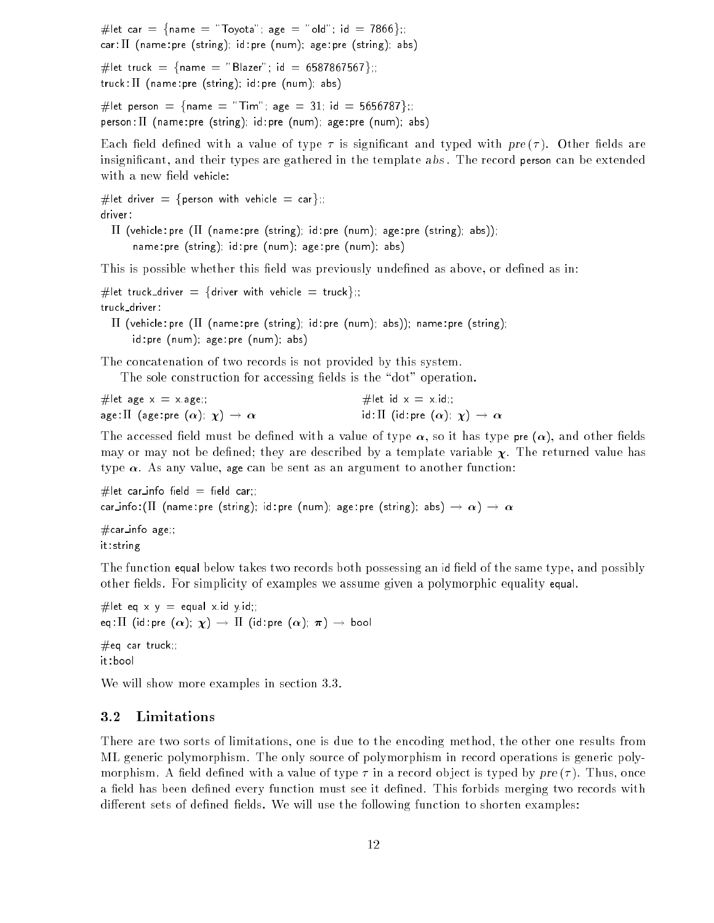# let car =  $\{name = "Toyota"; age = "old"; id = 7866};$  $car: \Pi$  (name:pre (string); id:pre (num); age:pre (string); abs) # let truck =  $\{name = "Blazer" \mid id = 6587867567\}$ truck :  $\Pi$  (name : pre (string); id : pre (num); abs) # let person =  $\{name = "Tim"; age = 31; id = 5656787\}$ ;  $person: \Pi$  (name:pre (string); id:pre (num); age:pre (num); abs)

Each field defined with a value of type  $\tau$  is significant and typed with pre  $(\tau)$ . Other fields are insignificant, and their types are gathered in the template abs. The record person can be extended with a new field vehicle:

```
# let driver = {person with vehicle = car};;
driver :
  \Pi (vehicle : pre (\Pi (name : pre (string); id : pre (num); age : pre (string); abs));
      name :pre (string); id :pre (num); age : pre (num); abs)
```
This is possible whether this field was previously undefined as above, or defined as in:

#let truck\_driver  $=$  {driver with vehicle  $=$  truck};; truck driver :  $\Pi$  (vehicle : pre ( $\Pi$  (name : pre (string); id : pre (num); abs)); name : pre (string); id :pre (num); age :pre (num); abs)

The concatenation of two records is not provided by this system.

The sole construction for accessing fields is the "dot" operation.

| # let age $x = x$ age:                                        | # let id $x = x$ id.                                                                                                                                          |
|---------------------------------------------------------------|---------------------------------------------------------------------------------------------------------------------------------------------------------------|
| age: $\Pi$ (age:pre $(\alpha)$ ) $\chi) \rightarrow \alpha$ . | $\mathbb{E} \hspace{0.1cm}\mathrm{id} \hspace{0.1cm} : \hspace{0.1cm} \Pi$ (id : pre $\hspace{0.1cm} (\alpha)_{\cdot}\hspace{0.1cm} \chi) \rightarrow \alpha$ |

The accessed field must be defined with a value of type  $\alpha$ , so it has type pre  $(\alpha)$ , and other fields may or may not be defined; they are described by a template variable  $\chi$ . The returned value has type  $\alpha$ . As any value, age can be sent as an argument to another function:

#let car info field  $=$  field car;; car\_info:( $\Pi$  (name:pre (string); id:pre (num); age:pre (string); abs)  $\to \alpha$ )  $\to \alpha$ 

 $#car$  info age;

it : string

The function equal below takes two records both possessing an id field of the same type, and possibly other fields. For simplicity of examples we assume given a polymorphic equality equal.

# let eq  $x y =$  equal xid yid;; eq:  $\Pi$  (id: pre  $(\alpha)$ ;  $\chi$ )  $\rightarrow$   $\Pi$  (id: pre  $(\alpha)$ ;  $\pi$ )  $\rightarrow$  bool  $#$ eq car truck;; it :bool

We will show more examples in section 3.3.

## 3.2 Limitations

There are two sorts of limitations, one is due to the encoding method, the other one results from ML generic polymorphism. The only source of polymorphism in record operations is generic polymorphism. A field defined with a value of type  $\tau$  in a record object is typed by pre  $(\tau)$ . Thus, once a field has been defined every function must see it defined. This forbids merging two records with different sets of defined fields. We will use the following function to shorten examples: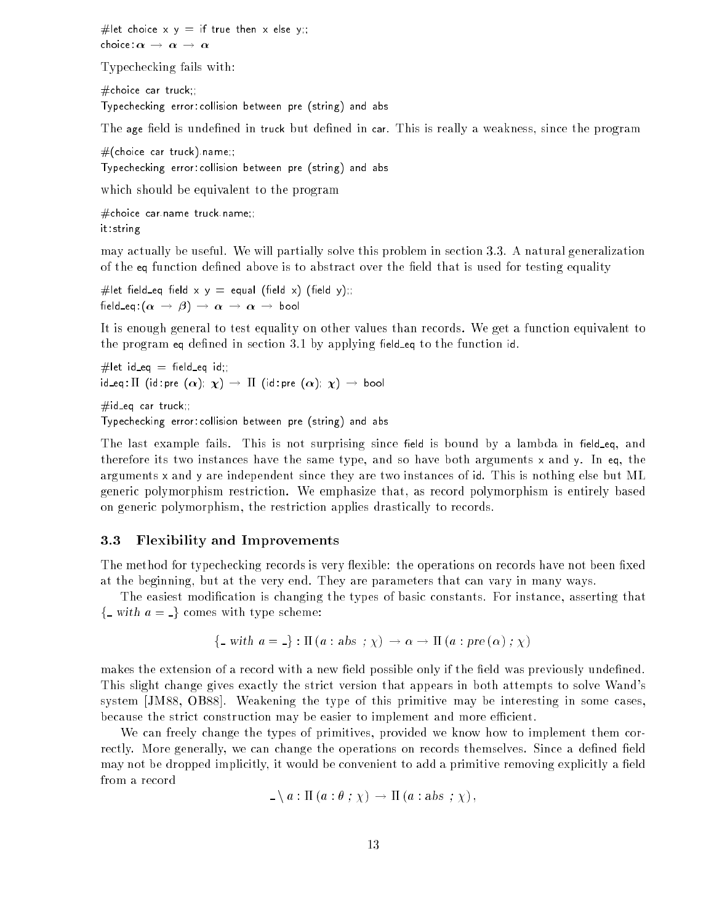# let choice  $x$   $y =$  if true then  $x$  else  $y$ ; choice :  $\alpha \, \rightarrow \, \alpha \, \rightarrow \, \alpha$ 

Typechecking fails with:

#choice car truck;; Typechecking error : collision between pre (string) and abs

The age field is undefined in truck but defined in car. This is really a weakness, since the program

 $#$ (choice car truck) name;; Typechecking error : collision between pre (string) and abs

which should be equivalent to the program

#choice car.name truck.name;; it : string

may actually be useful. We will partially solve this problem in section 3.3. A natural generalization of the eq function defined above is to abstract over the field that is used for testing equality

# let field eq field  $x, y =$  equal (field x) (field y);; field\_eq :  $(\alpha \rightarrow \beta) \rightarrow \alpha \rightarrow \alpha \rightarrow$  bool

It is enough general to test equality on other values than records. We get a function equivalent to the program eq defined in section 3.1 by applying field eq to the function  $id$ .

#  $\ell$  id\_eq = field eq id;;  $\mathsf{id\_eq} \colon \Pi$  (id :pre  $(\alpha) \colon \chi) \to \Pi$  (id :pre  $(\alpha) \colon \chi) \to \mathsf{bool}$ 

 $\#$ id\_eq car truck;; Typechecking error : collision between pre (string) and abs

The last example fails. This is not surprising since field is bound by a lambda in field eq, and therefore its two instances have the same type, and so have both arguments <sup>x</sup> and y. In eq, the arguments <sup>x</sup> and <sup>y</sup> are independent since they are two instances of id. This is nothing else but ML generic polymorphism restriction. We emphasize that, as record polymorphism is entirely based on generic polymorphism, the restriction applies drastically to records.

### 3.3 Flexibility and Improvements

The method for typechecking records is very flexible: the operations on records have not been fixed at the beginning, but at the very end. They are parameters that can vary in many ways.

The easiest modification is changing the types of basic constants. For instance, asserting that  $\{-\text{ with } a = -\}$  comes with type scheme:

$$
\{-\text{ with } a = -\}: \Pi(a : abs ; \chi) \to \alpha \to \Pi(a : pre(\alpha) ; \chi)
$$

makes the extension of a record with a new field possible only if the field was previously undefined. This slight change gives exactly the strict version that appears in both attempts to solve Wand's system [JM88, OB88]. Weakening the type of this primitive may be interesting in some cases, because the strict construction may be easier to implement and more efficient.

We can freely change the types of primitives, provided we know how to implement them correctly. More generally, we can change the operations on records themselves. Since a defined field may not be dropped implicitly, it would be convenient to add a primitive removing explicitly a field from a record

$$
-\langle a:\Pi(a:\theta;\chi)\rangle \to \Pi(a:abs;\chi),
$$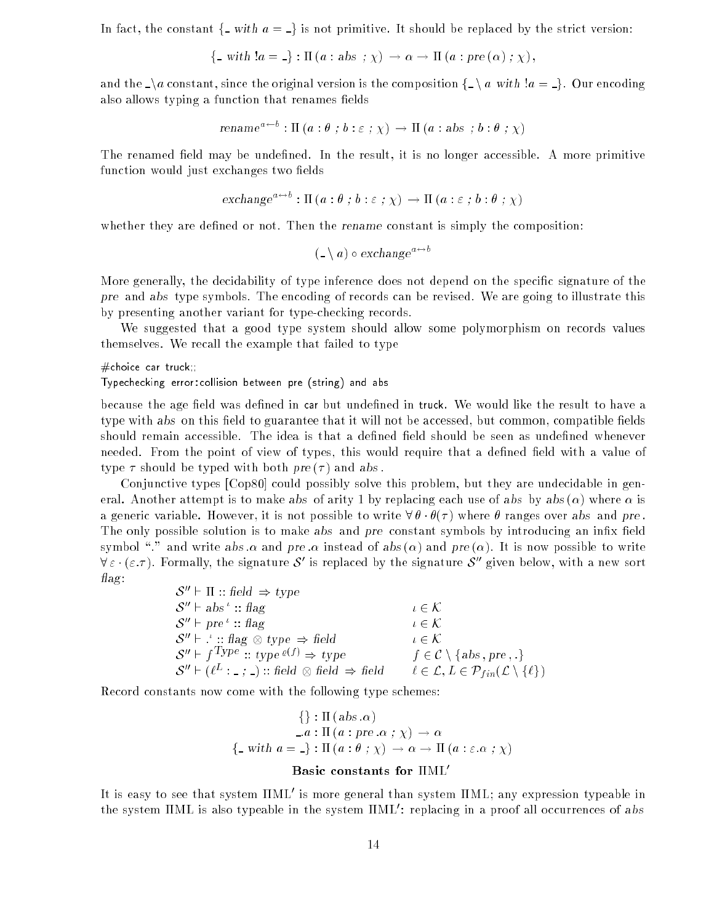In fact, the constant  $\{-with \ a = \_ \}$  is not primitive. It should be replaced by the strict version:

 $\{- \text{ with } !a = -\} : \Pi(a : abs ; \chi) \rightarrow \alpha \rightarrow \Pi(a : pre(\alpha) ; \chi),$ 

and the  $\alpha$  constant, since the original version is the composition  $\{\alpha \mid a \in \mathbb{R}\}\$ . Our encoding also allows typing a function that renames fields

$$
\text{rename}^{a \leftarrow b} : \Pi(a : \theta \; ; \, b : \varepsilon \; ; \, \chi) \rightarrow \Pi(a : abs \; ; \, b : \theta \; ; \, \chi)
$$

The renamed field may be undefined. In the result, it is no longer accessible. A more primitive function would just exchanges two fields

$$
exchange^{a \leftrightarrow b} : \Pi (a : \theta : b : \varepsilon : \chi) \rightarrow \Pi (a : \varepsilon : b : \theta : \chi)
$$

whether they are defined or not. Then the rename constant is simply the composition:

$$
(\Box \setminus a)
$$
 o exchange <sup>$a \leftrightarrow b$</sup> 

More generally, the decidability of type inference does not depend on the specic signature of the pre and abs type symbols. The encoding of records can be revised. We are going to illustrate this by presenting another variant for type-checking records.

We suggested that a good type system should allow some polymorphism on records values themselves. We recall the example that failed to type

 $#$ choice car truck;

#### Typechecking error : collision between pre (string) and abs

because the age field was defined in car but undefined in truck. We would like the result to have a type with abs on this field to guarantee that it will not be accessed, but common, compatible fields should remain accessible. The idea is that a defined field should be seen as undefined whenever needed. From the point of view of types, this would require that a defined field with a value of type  $\tau$  should be typed with both pre  $(\tau)$  and abs.

Conjunctive types [Cop80] could possibly solve this problem, but they are undecidable in general. Another attempt is to make abs of arity 1 by replacing each use of abs by abs  $(\alpha)$  where  $\alpha$  is a generic variable. However, it is not possible to write  $\forall \theta \cdot \theta(\tau)$  where  $\theta$  ranges over abs and pre. The only possible solution is to make abs and pre constant symbols by introducing an infix field symbol "." and write abs  $\alpha$  and pre  $\alpha$  instead of abs  $(\alpha)$  and pre  $(\alpha)$ . It is now possible to write  $8 \times 1.$  Formally, the signature  $S$  is replaced by the signature  $S$  -given below, with a new sort  $flag:$ 

> $S'' \vdash \Pi :: \text{field} \Rightarrow \text{type}$  $S^{\circ}$   $\vdash$  abs ::  $a$ ag  $l \in \mathcal{N}$  $S'' \vdash pre' :: flag$ :: ag 2 K  $S^{\circ} \vdash$ : :: Hag  $\otimes$  type  $\Rightarrow$  Held  $l \in \mathcal{N}$  $S \subset T$  for  $f \subset T$  is type  $\Rightarrow$  type for  $\Rightarrow$  type for  $f \in C$  is a factor  $f \in C$  is a factor  $f \in C$  is a factor  $f \in C$  is a factor of  $f \in C$  is a factor of  $f \in C$  is a factor of  $f \in C$  is a factor of  $f \in C$  is a factor of  $S \subset \bigcup_{i=1}^n i = j - j$  :: Held  $\otimes$  Held  $\Rightarrow$  Held  $\iota \in \mathcal{L}, L \in \mathcal{L}_{fin}(\mathcal{L} \setminus \{l\})$

Record constants now come with the following type schemes:

$$
\{\} : \Pi (abs . \alpha)
$$
  
\n
$$
-a : \Pi (a : pre . \alpha ; \chi) \to \alpha
$$
  
\n
$$
\{- with a = -\} : \Pi (a : \theta ; \chi) \to \alpha \to \Pi (a : \varepsilon . \alpha ; \chi)
$$
  
\n**Basic constants for** 
$$
\Pi ML'
$$

It is easy to see that system ML0 is more general than system ML; any expression typeable in the system HML is also typeable in the system HML: replacing in a proof all occurrences of abs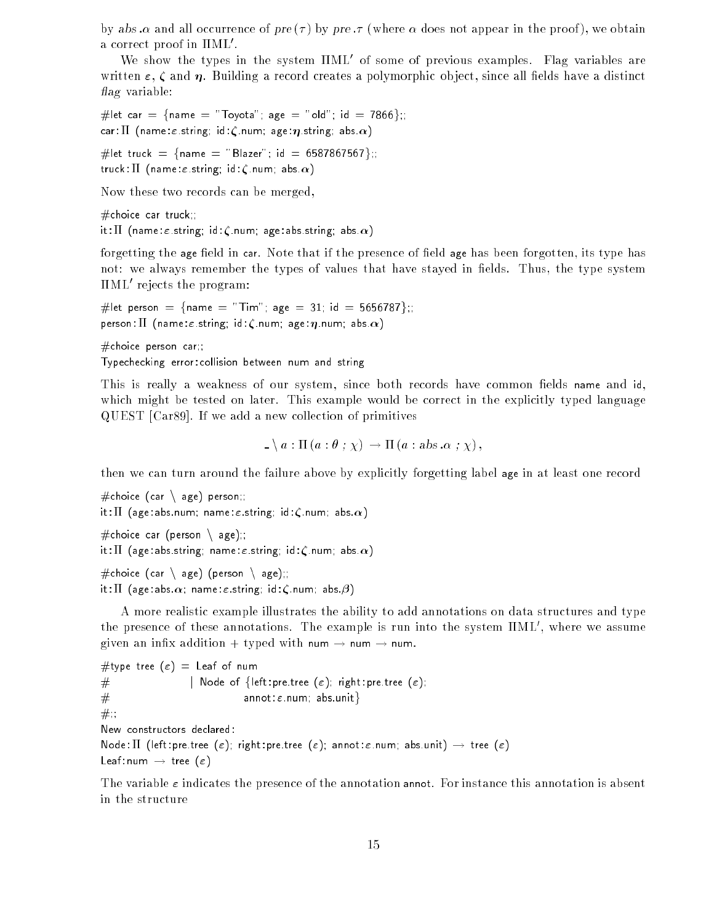by abs  $\alpha$  and all occurrence of pre  $(\tau)$  by pre  $\tau$  (where  $\alpha$  does not appear in the proof), we obtain a correct proof in **i**nule .

We show the types in the system HML of some of previous examples. Flag variables are written  $\varepsilon$ ,  $\zeta$  and  $\eta$ . Building a record creates a polymorphic object, since all fields have a distinct flag variable:

```
# let car = {name = "Toyota"; age = "old"; id = 7866};
car : \Pi (name : \varepsilon string; id : \zeta num; age : \eta string; abs. \alpha)
```
# let truck =  $\{name = "Blazer"; id = 6587867567};$ truck:  $\Pi$  (name:  $\varepsilon$  string; id:  $\zeta$  num; abs.  $\alpha$ )

Now these two records can be merged,

 $\#$ choice car truck;; it :  $\Pi$  (name :  $\varepsilon$  string; id :  $\zeta$  num; age : abs.string; abs. $\alpha)$ 

forgetting the age field in car. Note that if the presence of field age has been forgotten, its type has not: we always remember the types of values that have stayed in fields. Thus, the type system ML0 rejects the program:

# let person =  $\{$ name = "Tim"; age = 31; id = 5656787};; person :  $\Pi$  (name :  $\varepsilon$  string; id :  $\zeta$  num; age :  $\eta$  num; abs.  $\alpha$ )

 $\#$ choice person car;

Typechecking error : collision between num and string

This is really a weakness of our system, since both records have common fields name and id. which might be tested on later. This example would be correct in the explicitly typed language QUEST [Car89]. If we add a new collection of primitives

 $a : \Pi (a : \theta : \chi) \rightarrow \Pi (a : abs \alpha : \chi)$ ,

then we can turn around the failure above by explicitly forgetting label age in at least one record

```
#choice (car \setminus age) person;;
it : \Pi (age : abs.num; name : \varepsilon string; id : \zeta num; abs. \alpha)
```

```
#choice car (person \setminus age);;
it : \Pi (age : abs.string; name : \varepsilon string; id : \zeta num; abs.\alpha)
```

```
#choice (car \ age) (person \ age);;
it : \Pi (age : abs. \alpha; name : \varepsilon string; id : \zeta num; abs. \beta)
```
A more realistic example illustrates the ability to add annotations on data structures and type the presence of these annotations. The example is run into the system HML, where we assume given an infix addition + typed with num  $\rightarrow$  num  $\rightarrow$  num.

```
#type tree (\varepsilon) = Leaf of num
# | Node of \{left:pre-tree (\varepsilon); right : pre-tree (\varepsilon); \}\# annot:\varepsilon num; abs.unit}
#;;
New constructors declared :
Node: \Pi (left:pre.tree (\varepsilon); right:pre.tree (\varepsilon); annot:\varepsilon.num; abs.unit) \rightarrow tree (\varepsilon)
Leaf: num \rightarrow tree (\varepsilon)
```
The variable  $\varepsilon$  indicates the presence of the annotation annot. For instance this annotation is absent in the structure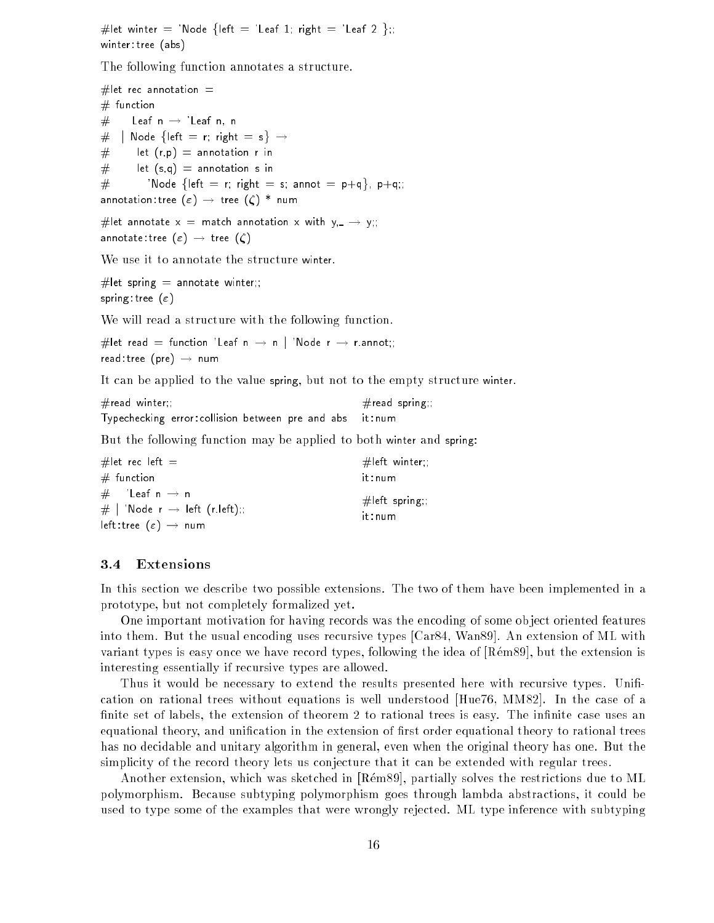# let winter = 'Node {left = 'Leaf 1; right = 'Leaf 2 };; winter : tree (abs)

The following function annotates a structure.

```
#let rec annotation =# function
\# Leaf n \rightarrow 'Leaf n, n
# | Node {left = r; right = s} \rightarrow# let (r, p) = annotation r in
\# let (s,q) = annotation s in
# 'Node \{left = r; right = s; \text{~annot = } p+q\}, p+q;annotation: tree (\varepsilon) \rightarrow tree (\zeta) * num
# let annotate x = match annotation x with y = y;
annotate:tree (\varepsilon) \rightarrow tree (\zeta)We use it to annotate the structure winter.
# let spring = annotate winter;
```
spring : tree  $(\varepsilon)$ 

We will read a structure with the following function.

# let read = function 'Leaf n  $\rightarrow$  n | 'Node r  $\rightarrow$  r.annot;; read : tree (pre)  $\rightarrow$  num

It can be applied to the value spring, but not to the empty structure winter.

| $\#$ read winter |                                                           |  |  | $\#$ read spring |
|------------------|-----------------------------------------------------------|--|--|------------------|
|                  | Typechecking error: collision between pre and abs it: num |  |  |                  |

But the following function may be applied to both winter and spring:

| $\#$ let rec left $=$                       | $#$ left winter |  |  |
|---------------------------------------------|-----------------|--|--|
| $#$ function                                | it:num          |  |  |
| $\#$ 'Leafn $\rightarrow$ n                 | $#$ left spring |  |  |
| $#$   'Node r $\rightarrow$ left (r.left);; | it:num          |  |  |
| left:tree $(\varepsilon) \rightarrow$ num   |                 |  |  |

#### 3.4 Extensions

In this section we describe two possible extensions. The two of them have been implemented in a prototype, but not completely formalized yet.

One important motivation for having records was the encoding of some ob ject oriented features into them. But the usual encoding uses recursive types [Car84, Wan89]. An extension of ML with variant types is easy once we have record types, following the idea of [Rem89], but the extension is interesting essentially if recursive types are allowed.

Thus it would be necessary to extend the results presented here with recursive types. Uni cation on rational trees without equations is well understood [Hue76, MM82]. In the case of a finite set of labels, the extension of theorem 2 to rational trees is easy. The infinite case uses an equational theory, and unification in the extension of first order equational theory to rational trees has no decidable and unitary algorithm in general, even when the original theory has one. But the simplicity of the record theory lets us conjecture that it can be extended with regular trees.

Another extension, which was sketched in [Rem89], partially solves the restrictions due to ML polymorphism. Because subtyping polymorphism goes through lambda abstractions, it could be used to type some of the examples that were wrongly rejected. ML type inference with subtyping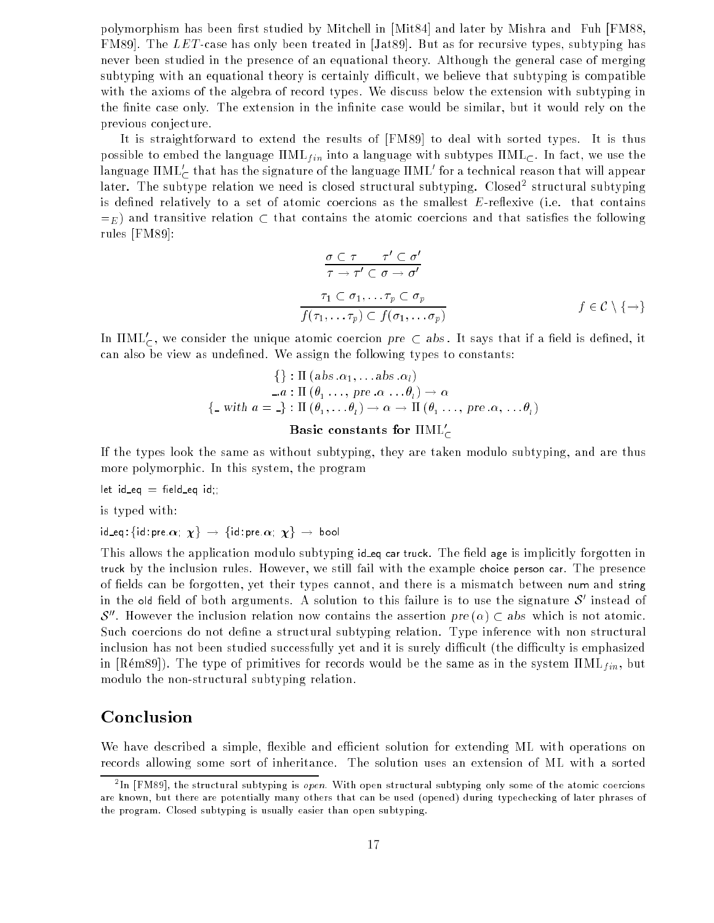polymorphism has been first studied by Mitchell in [Mit84] and later by Mishra and Fuh [FM88, FM89]. The LET -case has only been treated in [Jat89]. But as for recursive types, subtyping has never been studied in the presence of an equational theory. Although the general case of merging subtyping with an equational theory is certainly difficult, we believe that subtyping is compatible with the axioms of the algebra of record types. We discuss below the extension with subtyping in the finite case only. The extension in the infinite case would be similar, but it would rely on the previous conjecture.

It is straightforward to extend the results of [FM89] to deal with sorted types. It is thus possible to embed the language  $\text{HML}_{fin}$  into a language with subtypes  $\text{HML}_\subset$ . In fact, we use the language  $\min_{\text{c}}$  that has the signature of the language HML for a technical reason that will appear later. The subtype relation we need is closed structural subtyping. Closed2 structural subtyping is defined relatively to a set of atomic coercions as the smallest  $E$ -reflexive (i.e. that contains  $E=E$ ) and transitive relation  $\subset$  that contains the atomic coercions and that satisfies the following rules [FM89]:

$$
\frac{\sigma \subset \tau \qquad \tau' \subset \sigma'}{\tau \to \tau' \subset \sigma \to \sigma'}
$$
\n
$$
\frac{\tau_1 \subset \sigma_1, \dots \tau_p \subset \sigma_p}{f(\tau_1, \dots \tau_p) \subset f(\sigma_1, \dots \sigma_p)} \qquad f \in \mathcal{C} \setminus \{\to\}
$$

 $\overline{\phantom{0}}$ 

In HML<sub>C</sub>, we consider the unique atomic coercion  $pre \subset abs$  . It says that if a field is defined, it can also be view as undefined. We assign the following types to constants:

$$
\{\}: \Pi \; (abs \ldots a_1, \ldots abs \ldots a_l)
$$
  
\n
$$
\ldots a: \Pi \; (\theta_1 \ldots, pre \ldots \ldots \theta_l) \to \alpha
$$
  
\n
$$
\{\text{- with } a = \ldots\} : \Pi \; (\theta_1, \ldots \theta_l) \to \alpha \to \Pi \; (\theta_1 \ldots, pre \ldots \ldots \theta_l)
$$

## Basic constants for  $\text{IML}_\text{C}$

If the types look the same as without subtyping, they are taken modulo subtyping, and are thus more polymorphic. In this system, the program

 $let id_eq = field_eq id;$ 

is typed with:

 $\mathsf{id\_eq} \colon \{\mathsf{id} : \mathsf{pre} \: \alpha; \: \chi\} \ \to \ \{\mathsf{id} : \mathsf{pre} \: \alpha; \: \chi\} \ \to \ \mathsf{bool}$ 

This allows the application modulo subtyping id\_eq car truck. The field age is implicitly forgotten in truck by the inclusion rules. However, we still fail with the example choice person car. The presence of fields can be forgotten, yet their types cannot, and there is a mismatch between num and string in the old held of both arguments. A solution to this failure is to use the signature  $\delta$  -mstead of  $\mathcal{O}_\mathbb{R}$  . However the inclusion relation now contains the assertion  $pre(\alpha) \subset abs$  which is not atomic. Such coercions do not define a structural subtyping relation. Type inference with non structural inclusion has not been studied successfully yet and it is surely difficult (the difficulty is emphasized in [Rém89]). The type of primitives for records would be the same as in the system  $\text{HML}_{fin}$ , but modulo the non-structural subtyping relation.

## Conclusion

We have described a simple, flexible and efficient solution for extending ML with operations on records allowing some sort of inheritance. The solution uses an extension of ML with a sorted

<sup>2</sup> In [FM89], the structural subtyping is open. With open structural subtyping only some of the atomic coercions are known, but there are potentially many others that can be used (opened) during typechecking of later phrases of the program. Closed subtyping is usually easier than open subtyping.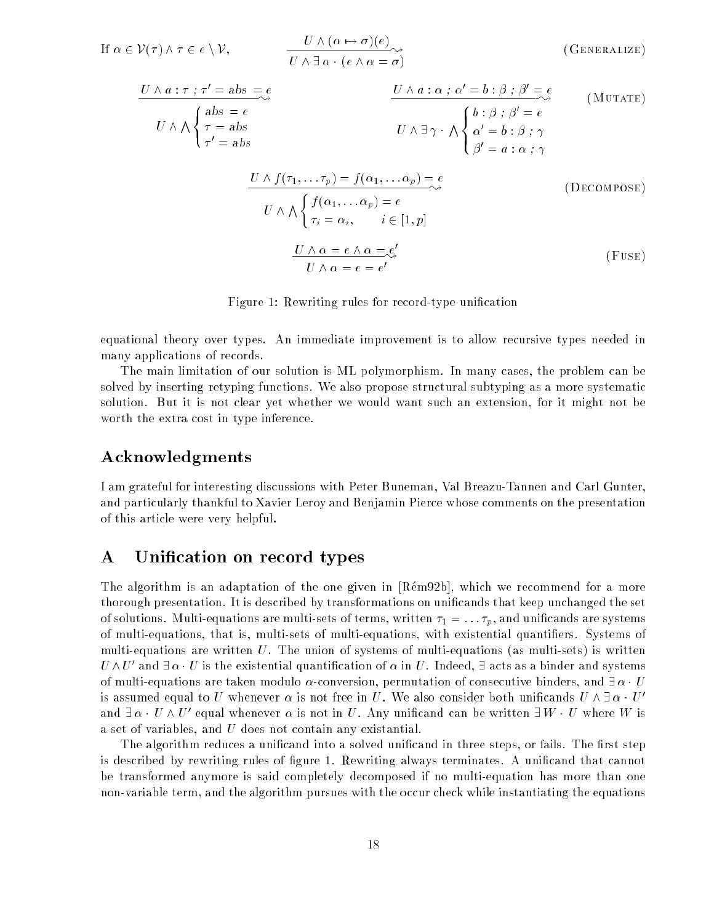If 
$$
\alpha \in \mathcal{V}(\tau) \land \tau \in e \setminus \mathcal{V}
$$
,  
\n
$$
\frac{U \land \alpha \mapsto \sigma)(e)}{U \land \exists \alpha \cdot (e \land \alpha = \sigma)}
$$
\n
$$
\frac{U \land a : \tau : \tau' = abs}{U \land \bigwedge \begin{cases} abs = e \\ \tau = abs \\ \tau' = abs \end{cases}}
$$
\n
$$
\frac{U \land a : \alpha : \alpha : \alpha' = b : \beta : \beta' = e}{U \land \exists \gamma \cdot \bigwedge \begin{cases} b : \beta : \beta' = e \\ \alpha' = b : \beta : \gamma \\ \beta' = a : \alpha : \gamma \end{cases}}
$$
\n
$$
\frac{U \land f(\tau_1, \dots, \tau_p) = f(\alpha_1, \dots, \alpha_p) = e}{U \land \bigwedge \begin{cases} f(\alpha_1, \dots, \alpha_p) = e \\ \tau_i = \alpha_i, \quad i \in [1, p] \end{cases}}
$$
\n
$$
\frac{U \land \alpha = e \land \alpha = e'}{U \land \alpha = e \land \alpha = e'}
$$
\n
$$
(PECOMPOSE)
$$

Figure 1: Rewriting rules for record-type unification

equational theory over types. An immediate improvement is to allow recursive types needed in many applications of records.

The main limitation of our solution is ML polymorphism. In many cases, the problem can be solved by inserting retyping functions. We also propose structural subtyping as a more systematic solution. But it is not clear yet whether we would want such an extension, for it might not be worth the extra cost in type inference.

## Acknowledgments

I am grateful for interesting discussions with Peter Buneman, Val Breazu-Tannen and Carl Gunter, and particularly thankful to Xavier Leroy and Benjamin Pierce whose comments on the presentation of this article were very helpful.

## A Unication on record types

The algorithm is an adaptation of the one given in [Rem92b], which we recommend for a more thorough presentation. It is described by transformations on unicands that keep unchanged the set of solutions. Multi-equations are multi-sets of terms, written  $\tau_1 = \ldots \tau_p$ , and unificands are systems of multi-equations, that is, multi-sets of multi-equations, with existential quantiers. Systems of multi-equations are written  $U$ . The union of systems of multi-equations (as multi-sets) is written  $U \wedge U$  and  $\exists \alpha \cdot U$  is the existential quantification of  $\alpha$  in  $U$  . Indeed,  $\exists$  acts as a binder and systems of multi-equations are taken modulo  $\alpha$ -conversion, permutation of consecutive binders, and  $\exists \alpha \cdot U$ is assumed equal to U whenever  $\alpha$  is not free in U. We also consider both unificands  $U \wedge \exists \alpha \cdot U'$ and  $\exists \alpha \cdot U \wedge U$  equal whenever  $\alpha$  is not in  $U$ . Any unincand can be written  $\exists W \cdot U$  where  $W$  is a set of variables, and U does not contain any existantial.

The algorithm reduces a unificand into a solved unificand in three steps, or fails. The first step is described by rewriting rules of figure 1. Rewriting always terminates. A unificand that cannot be transformed anymore is said completely decomposed if no multi-equation has more than one non-variable term, and the algorithm pursues with the occur check while instantiating the equations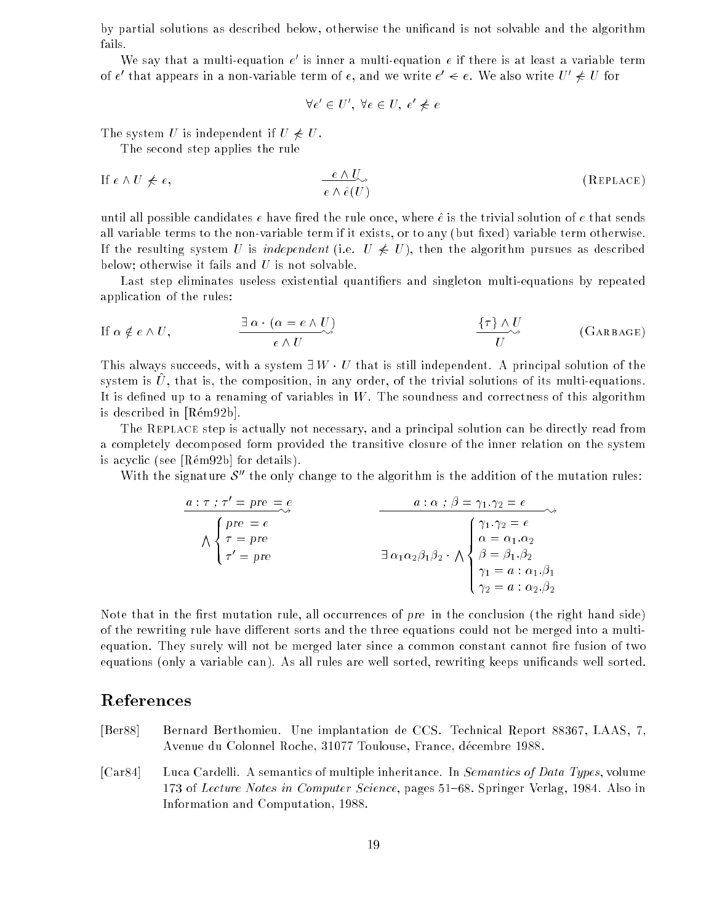by partial solutions as described below, otherwise the unicand is not solvable and the algorithm fails.

We say that a multi-equation  $e$  is finer a multi-equation  $e$  if there is at least a variable term of e-unat appears in a non-variable term of e, and we write  $e\ \Leftarrow e.$  We also write  $\psi\ \not\Leftarrow\ \psi$  for

$$
\forall e' \in U', \ \forall e \in U, \ e' \neq e
$$

The system U is independent if  $U \nless U$ .

The second step applies the rule

If 
$$
e \wedge U \neq e
$$
,  $\underbrace{e \wedge U}_{e \wedge \hat{e}(U)}$  (REPLACE)

until all possible candidates e have fired the rule once, where  $\hat{e}$  is the trivial solution of e that sends all variable terms to the non-variable term if it exists, or to any (but fixed) variable term otherwise. If the resulting system U is independent (i.e.  $U \neq U$ ), then the algorithm pursues as described below; otherwise it fails and  $U$  is not solvable.

Last step eliminates useless existential quantifiers and singleton multi-equations by repeated application of the rules:

If 
$$
\alpha \notin e \land U
$$
,  $\frac{\exists \alpha \cdot (\alpha = e \land U)}{e \land U}$   $\xrightarrow{\{\tau\} \land U}$  (GARBAGE)

This always succeeds, with a system  $\exists W \cdot U$  that is still independent. A principal solution of the system is  $\hat{U}$ , that is, the composition, in any order, of the trivial solutions of its multi-equations. It is defined up to a renaming of variables in  $W$ . The soundness and correctness of this algorithm is described in [Rem92b].

The Replace step is actually not necessary, and a principal solution can be directly read from a completely decomposed form provided the transitive closure of the inner relation on the system is acyclic (see  $[$ Rém $92b]$  for details).

With the signature  $\mathcal{S}''$  the only change to the algorithm is the addition of the mutation rules:

$$
\begin{array}{c}\n a:\tau \, ; \, \tau' = \text{pre} = e \\
 \hline\n \bigwedge\n \begin{cases}\n \text{pre} = e \\
 \tau = \text{pre} \\
 \tau' = \text{pre}\n \end{cases}\n \end{array}\n \qquad\n \begin{array}{c}\n a:\alpha \, ; \, \beta = \gamma_1.\gamma_2 = e \\
 \hline\n \bigwedge\n \begin{cases}\n \gamma_1.\gamma_2 = e \\
 \alpha = \alpha_1.\alpha_2 \\
 \alpha = \alpha_1.\alpha_2 \\
 \gamma_1 = a:\alpha_1.\beta_1 \\
 \gamma_2 = a:\alpha_2.\beta_2\n \end{cases}\n \end{array}
$$

Note that in the first mutation rule, all occurrences of pre in the conclusion (the right hand side) of the rewriting rule have different sorts and the three equations could not be merged into a multiequation. They surely will not be merged later since a common constant cannot fire fusion of two equations (only a variable can). As all rules are well sorted, rewriting keeps unificands well sorted.

## References

- [Ber88] Bernard Berthomieu. Une implantation de CCS. Technical Report 88367, LAAS, 7, Avenue du Colonnel Roche, 31077 Toulouse, France, decembre 1988.
- [Car84] Luca Cardelli. A semantics of multiple inheritance. In Semantics of Data Types, volume 173 of Lecture Notes in Computer Science, pages 51–68. Springer Verlag, 1984. Also in Information and Computation, 1988.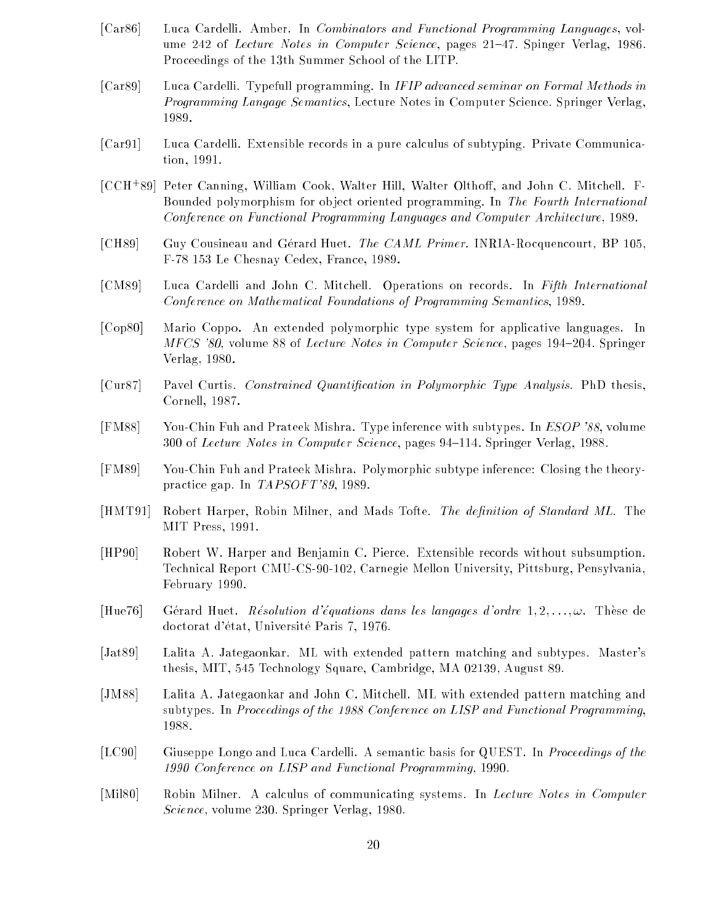- [Car86] Luca Cardelli. Amber. In Combinators and Functional Programming Languages, volume 242 of Lecture Notes in Computer Science, pages  $21-47$ . Spinger Verlag, 1986. Proceedings of the 13th Summer School of the LITP.
- [Car89] Luca Cardelli. Typefull programming. In IFIP advanced seminar on Formal Methods in Programming Langage Semantics, Lecture Notes in Computer Science. Springer Verlag, 1989.
- [Car91] Luca Cardelli. Extensible records in a pure calculus of subtyping. Private Communication, 1991.
- [CCH+ 89] Peter Canning, William Cook, Walter Hill, Walter Oltho, and John C. Mitchell. F-Bounded polymorphism for ob ject oriented programming. In The Fourth International Conference on Functional Programming Languages and Computer Architecture, 1989.
- [CH89] Guy Cousineau and Gérard Huet. The CAML Primer. INRIA-Rocquencourt, BP 105, F-78 153 Le Chesnay Cedex, France, 1989.
- [CM89] Luca Cardelli and John C. Mitchell. Operations on records. In Fifth International Conference on Mathematical Foundations of Programming Semantics, 1989.
- [Cop80] Mario Coppo. An extended polymorphic type system for applicative languages. In MFCS '80, volume 88 of Lecture Notes in Computer Science, pages 194-204. Springer Verlag, 1980.
- [Cur87] Pavel Curtis. Constrained Quantification in Polymorphic Type Analysis. PhD thesis. Cornell, 1987.
- [FM88] You-Chin Fuh and Prateek Mishra. Type inference with subtypes. In ESOP '88, volume 300 of Lecture Notes in Computer Science, pages 94–114. Springer Verlag, 1988.
- [FM89] You-Chin Fuh and Prateek Mishra. Polymorphic subtype inference: Closing the theorypractice gap. In TAPSOFT'89, 1989.
- [HMT91] Robert Harper, Robin Milner, and Mads Tofte. The definition of Standard ML. The MIT Press, 1991.
- [HP90] Robert W. Harper and Benjamin C. Pierce. Extensible records without subsumption. Technical Report CMU-CS-90-102, Carnegie Mellon University, Pittsburg, Pensylvania, February 1990.
- [Hue76] Gérard Huet. Résolution d'équations dans les langages d'ordre  $1, 2, \ldots, \omega$ . Thèse de doctorat d'état, Université Paris 7, 1976.
- [Jat89] Lalita A. Jategaonkar. ML with extended pattern matching and subtypes. Master's thesis, MIT, 545 Technology Square, Cambridge, MA 02139, August 89.
- [JM88] Lalita A. Jategaonkar and John C. Mitchell. ML with extended pattern matching and subtypes. In Proceedings of the 1988 Conference on LISP and Functional Programming, 1988.
- [LC90] Giuseppe Longo and Luca Cardelli. A semantic basis for QUEST. In Proceedings of the 1990 Conference on LISP and Functional Programming, 1990.
- [Mil80] Robin Milner. A calculus of communicating systems. In Lecture Notes in Computer Science, volume 230. Springer Verlag, 1980.